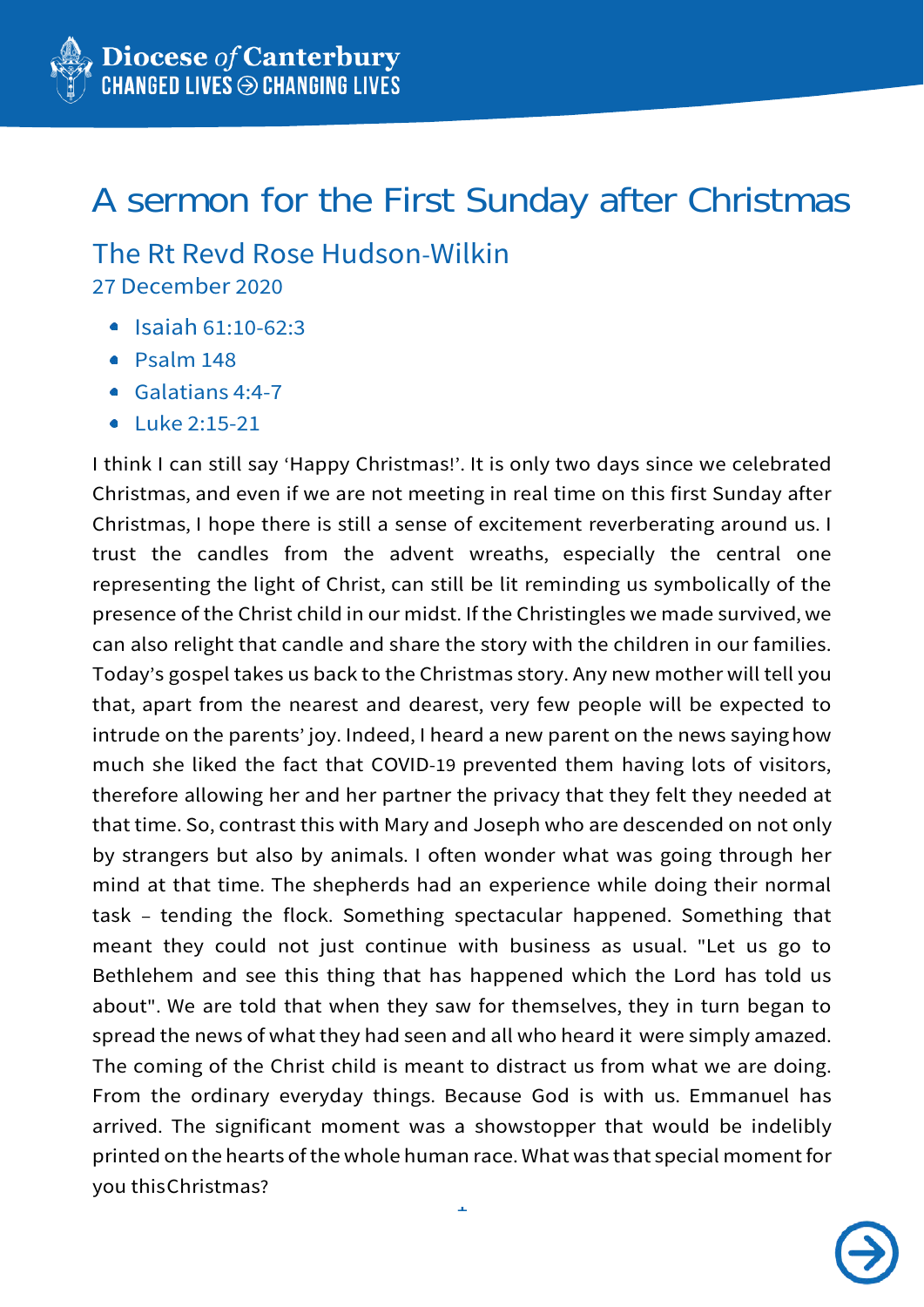## A sermon for the First Sunday after Christmas

## The Rt Revd Rose Hudson-Wilkin

27 December 2020

- $\bullet$  Isaiah 61:10-62:3
- Psalm 148
- Galatians 4:4-7
- $\bullet$  Luke 2:15-21

1 I think I can still say ʻHappy Christmas!'. It is only two days since we celebrated Christmas, and even if we are not meeting in real time on this first Sunday after Christmas, I hope there is still a sense of excitement reverberating around us. I trust the candles from the advent wreaths, especially the central one representing the light of Christ, can still be lit reminding us symbolically of the presence of the Christ child in our midst. If the Christingles we made survived, we can also relight that candle and share the story with the children in our families. Today's gospel takes us back to the Christmas story. Any new mother will tell you that, apart from the nearest and dearest, very few people will be expected to intrude on the parents' joy. Indeed, I heard a new parent on the news sayinghow much she liked the fact that COVID-19 prevented them having lots of visitors, therefore allowing her and her partner the privacy that they felt they needed at that time. So, contrast this with Mary and Joseph who are descended on not only by strangers but also by animals. I often wonder what was going through her mind at that time. The shepherds had an experience while doing their normal task – tending the flock. Something spectacular happened. Something that meant they could not just continue with business as usual. "Let us go to Bethlehem and see this thing that has happened which the Lord has told us about". We are told that when they saw for themselves, they in turn began to spread the news of what they had seen and all who heard it were simply amazed. The coming of the Christ child is meant to distract us from what we are doing. From the ordinary everyday things. Because God is with us. Emmanuel has arrived. The significant moment was a showstopper that would be indelibly printed on the hearts of the whole human race. What was that special moment for you thisChristmas?

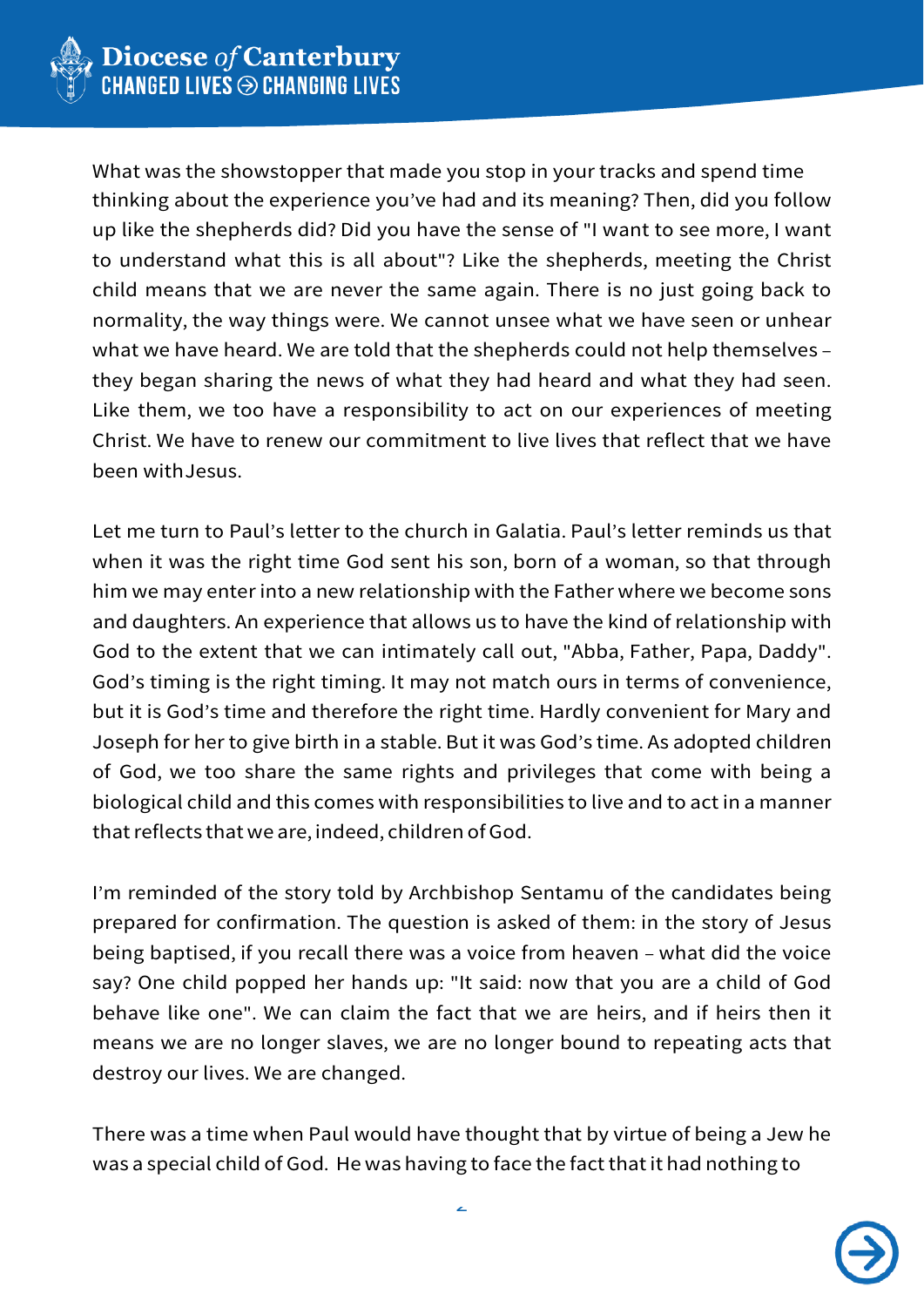

What was the showstopper that made you stop in your tracks and spend time thinking about the experience you've had and its meaning? Then, did you follow up like the shepherds did? Did you have the sense of "I want to see more, I want to understand what this is all about"? Like the shepherds, meeting the Christ child means that we are never the same again. There is no just going back to normality, the way things were. We cannot unsee what we have seen or unhear what we have heard. We are told that the shepherds could not help themselves – they began sharing the news of what they had heard and what they had seen. Like them, we too have a responsibility to act on our experiences of meeting Christ. We have to renew our commitment to live lives that reflect that we have been withJesus.

Let me turn to Paul's letter to the church in Galatia. Paul's letter reminds us that when it was the right time God sent his son, born of a woman, so that through him we may enter into a new relationship with the Father where we become sons and daughters. An experience that allows us to have the kind of relationship with God to the extent that we can intimately call out, "Abba, Father, Papa, Daddy". God's timing is the right timing. It may not match ours in terms of convenience, but it is God's time and therefore the right time. Hardly convenient for Mary and Joseph for her to give birth in a stable. But it was God's time. As adopted children of God, we too share the same rights and privileges that come with being a biological child and this comes with responsibilities to live and to act in a manner that reflects that we are, indeed, children of God.

I'm reminded of the story told by Archbishop Sentamu of the candidates being prepared for confirmation. The question is asked of them: in the story of Jesus being baptised, if you recall there was a voice from heaven – what did the voice say? One child popped her hands up: "It said: now that you are a child of God behave like one". We can claim the fact that we are heirs, and if heirs then it means we are no longer slaves, we are no longer bound to repeating acts that destroy our lives. We are changed.

There was a time when Paul would have thought that by virtue of being a Jew he was a special child of God. He was having to face the fact that it had nothing to